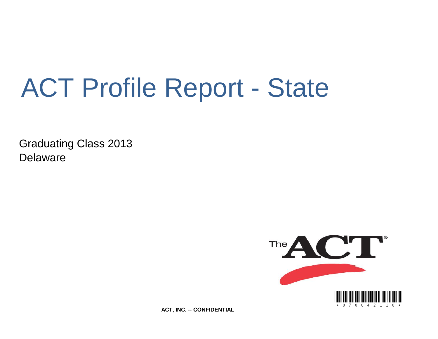# ACT Profile Report - State

Graduating Class 2013 Delaware



**ACT, INC. -- CONFIDENTIAL**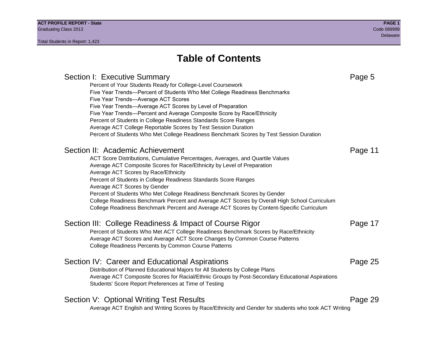### **Table of Contents**

### Section I: Executive Summary **Page 5** and the section I: Executive Summary Percent of Your Students Ready for College-Level Coursework Five Year Trends—Percent of Students Who Met College Readiness Benchmarks Five Year Trends—Average ACT Scores Five Year Trends—Average ACT Scores by Level of Preparation Five Year Trends—Percent and Average Composite Score by Race/Ethnicity Percent of Students in College Readiness Standards Score Ranges Average ACT College Reportable Scores by Test Session Duration Percent of Students Who Met College Readiness Benchmark Scores by Test Session Duration Section II: Academic Achievement **Page 11** Page 11 ACT Score Distributions, Cumulative Percentages, Averages, and Quartile Values Average ACT Composite Scores for Race/Ethnicity by Level of Preparation Average ACT Scores by Race/Ethnicity Percent of Students in College Readiness Standards Score Ranges Average ACT Scores by Gender Percent of Students Who Met College Readiness Benchmark Scores by Gender College Readiness Benchmark Percent and Average ACT Scores by Overall High School Curriculum College Readiness Benchmark Percent and Average ACT Scores by Content-Specific Curriculum Section III: College Readiness & Impact of Course Rigor Page 17 Percent of Students Who Met ACT College Readiness Benchmark Scores by Race/Ethnicity Average ACT Scores and Average ACT Score Changes by Common Course Patterns College Readiness Percents by Common Course Patterns Section IV: Career and Educational Aspirations **Page 25** Page 25 Distribution of Planned Educational Majors for All Students by College Plans Average ACT Composite Scores for Racial/Ethnic Groups by Post-Secondary Educational Aspirations Students' Score Report Preferences at Time of Testing Section V: Optional Writing Test Results **Page 29** Page 29 Average ACT English and Writing Scores by Race/Ethnicity and Gender for students who took ACT Writing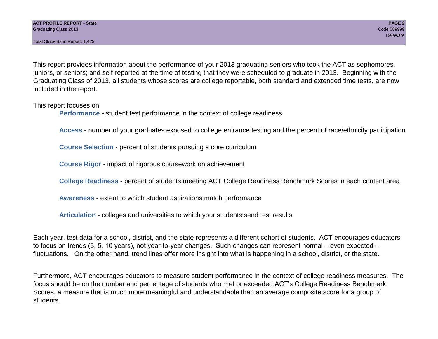Total Students in Report: 1,423

This report provides information about the performance of your 2013 graduating seniors who took the ACT as sophomores, juniors, or seniors; and self-reported at the time of testing that they were scheduled to graduate in 2013. Beginning with the Graduating Class of 2013, all students whose scores are college reportable, both standard and extended time tests, are now included in the report.

This report focuses on:

**Performance** - student test performance in the context of college readiness

**Access** - number of your graduates exposed to college entrance testing and the percent of race/ethnicity participation

**Course Selection** - percent of students pursuing a core curriculum

**Course Rigor** - impact of rigorous coursework on achievement

**College Readiness** - percent of students meeting ACT College Readiness Benchmark Scores in each content area

**Awareness** - extent to which student aspirations match performance

**Articulation** - colleges and universities to which your students send test results

Each year, test data for a school, district, and the state represents a different cohort of students. ACT encourages educators to focus on trends (3, 5, 10 years), not year-to-year changes. Such changes can represent normal – even expected – fluctuations. On the other hand, trend lines offer more insight into what is happening in a school, district, or the state.

Furthermore, ACT encourages educators to measure student performance in the context of college readiness measures. The focus should be on the number and percentage of students who met or exceeded ACT's College Readiness Benchmark Scores, a measure that is much more meaningful and understandable than an average composite score for a group of students.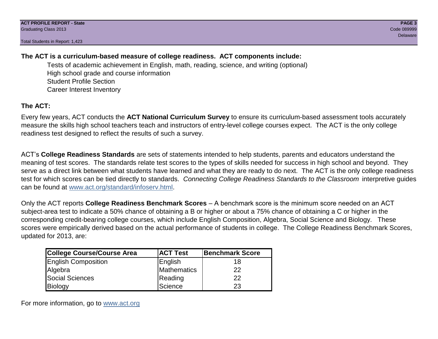Total Students in Report: 1,423

#### **The ACT is a curriculum-based measure of college readiness. ACT components include:**

Tests of academic achievement in English, math, reading, science, and writing (optional) High school grade and course information Student Profile Section Career Interest Inventory

#### **The ACT:**

Every few years, ACT conducts the **ACT National Curriculum Survey** to ensure its curriculum-based assessment tools accurately measure the skills high school teachers teach and instructors of entry-level college courses expect. The ACT is the only college readiness test designed to reflect the results of such a survey.

ACT's **College Readiness Standards** are sets of statements intended to help students, parents and educators understand the meaning of test scores. The standards relate test scores to the types of skills needed for success in high school and beyond. They serve as a direct link between what students have learned and what they are ready to do next. The ACT is the only college readiness test for which scores can be tied directly to standards. *Connecting College Readiness Standards to the Classroom* interpretive guides can be found at www.act.org/standard/infoserv.html.

Only the ACT reports **College Readiness Benchmark Scores** – A benchmark score is the minimum score needed on an ACT subject-area test to indicate a 50% chance of obtaining a B or higher or about a 75% chance of obtaining a C or higher in the corresponding credit-bearing college courses, which include English Composition, Algebra, Social Science and Biology. These scores were empirically derived based on the actual performance of students in college. The College Readiness Benchmark Scores, updated for 2013, are:

| College Course/Course Area | <b>ACT Test</b> | <b>Benchmark Score</b> |
|----------------------------|-----------------|------------------------|
| <b>English Composition</b> | English         | 18                     |
| Algebra                    | Mathematics     | 22                     |
| <b>Social Sciences</b>     | Reading         | 22                     |
| Biology                    | Science         | 23                     |

For more information, go to www.act.org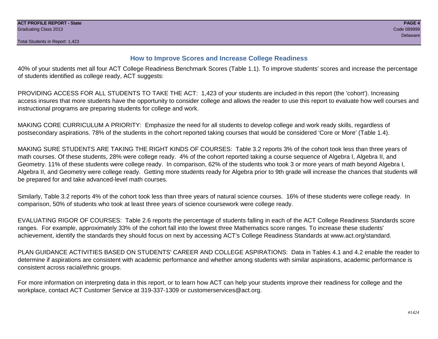#### **How to Improve Scores and Increase College Readiness**

40% of your students met all four ACT College Readiness Benchmark Scores (Table 1.1). To improve students' scores and increase the percentage of students identified as college ready, ACT suggests:

PROVIDING ACCESS FOR ALL STUDENTS TO TAKE THE ACT: 1,423 of your students are included in this report (the 'cohort'). Increasing access insures that more students have the opportunity to consider college and allows the reader to use this report to evaluate how well courses and instructional programs are preparing students for college and work.

MAKING CORE CURRICULUM A PRIORITY: Emphasize the need for all students to develop college and work ready skills, regardless of postsecondary aspirations. 78% of the students in the cohort reported taking courses that would be considered 'Core or More' (Table 1.4).

MAKING SURE STUDENTS ARE TAKING THE RIGHT KINDS OF COURSES: Table 3.2 reports 3% of the cohort took less than three years of math courses. Of these students, 28% were college ready. 4% of the cohort reported taking a course sequence of Algebra I, Algebra II, and Geometry. 11% of these students were college ready. In comparison, 62% of the students who took 3 or more years of math beyond Algebra I, Algebra II, and Geometry were college ready. Getting more students ready for Algebra prior to 9th grade will increase the chances that students will be prepared for and take advanced-level math courses.

Similarly, Table 3.2 reports 4% of the cohort took less than three years of natural science courses. 16% of these students were college ready. In comparison, 50% of students who took at least three years of science coursework were college ready.

EVALUATING RIGOR OF COURSES: Table 2.6 reports the percentage of students falling in each of the ACT College Readiness Standards score ranges. For example, approximately 33% of the cohort fall into the lowest three Mathematics score ranges. To increase these students' achievement, identify the standards they should focus on next by accessing ACT's College Readiness Standards at www.act.org/standard.

PLAN GUIDANCE ACTIVITIES BASED ON STUDENTS' CAREER AND COLLEGE ASPIRATIONS: Data in Tables 4.1 and 4.2 enable the reader to determine if aspirations are consistent with academic performance and whether among students with similar aspirations, academic performance is consistent across racial/ethnic groups.

For more information on interpreting data in this report, or to learn how ACT can help your students improve their readiness for college and the workplace, contact ACT Customer Service at 319-337-1309 or customerservices@act.org.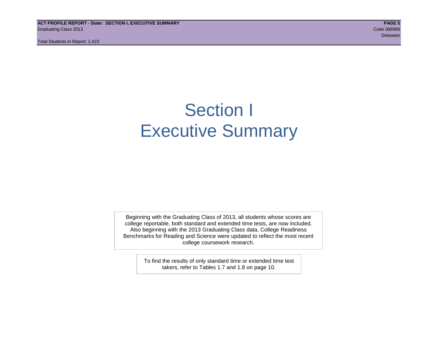**ACT PROFILE REPORT - State: SECTION I, EXECUTIVE SUMMARY PAGE 5** Graduating Class 2013 Code 089999

Total Students in Report: 1,423

### Section I Executive Summary

Beginning with the Graduating Class of 2013, all students whose scores are college reportable, both standard and extended time tests, are now included. Also beginning with the 2013 Graduating Class data, College Readiness Benchmarks for Reading and Science were updated to reflect the most recent college coursework research.

> To find the results of only standard time or extended time test takers, refer to Tables 1.7 and 1.8 on page 10.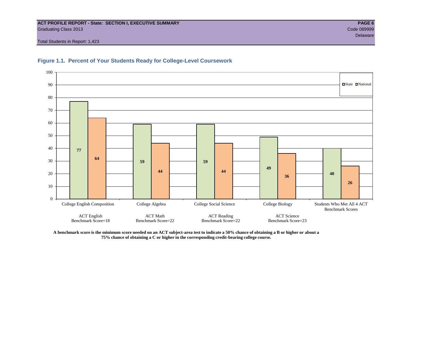#### **ACT PROFILE REPORT - State: SECTION I, EXECUTIVE SUMMARY PAGE 6** Graduating Class 2013 Code 089999

Total Students in Report: 1,423





**A benchmark score is the minimum score needed on an ACT subject-area test to indicate a 50% chance of obtaining a B or higher or about a 75% chance of obtaining a C or higher in the corresponding credit-bearing college course.**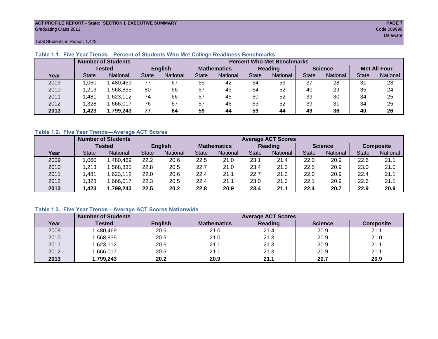#### **ACT PROFILE REPORT - State: SECTION I, EXECUTIVE SUMMARY PAGE 7** Graduating Class 2013 Code 089999

Total Students in Report: 1,423

|      |              | <b>Number of Students</b> |                | <b>Percent Who Met Benchmarks</b> |                    |          |              |                 |                |          |                     |          |  |  |
|------|--------------|---------------------------|----------------|-----------------------------------|--------------------|----------|--------------|-----------------|----------------|----------|---------------------|----------|--|--|
|      |              | <b>Tested</b>             | <b>English</b> |                                   | <b>Mathematics</b> |          | Reading      |                 | <b>Science</b> |          | <b>Met All Four</b> |          |  |  |
| Year | <b>State</b> | <b>National</b>           | State          | National<br>State                 |                    | National | <b>State</b> | <b>National</b> |                | National | <b>State</b>        | National |  |  |
| 2009 | .060         | ,480,469                  | 77             | 67                                | 55                 | 42       | 64           | 53              | 37             | 28       | 31                  | 23       |  |  |
| 2010 | .213         | .568.835                  | 80             | 66                                | 57                 | 43       | 64           | 52              | 40             | 29       | 35                  | 24       |  |  |
| 2011 | .481         | 1,623,112                 | 74             | 66                                | 57                 | 45       | 60           | 52              | 39             | 30       | 34                  | 25       |  |  |
| 2012 | .328         | .666,017                  | 76             | 67                                | 57                 | 46       | 63           | 52              | 39             | 31       | 34                  | 25       |  |  |
| 2013 | ,423         | 1,799,243                 | 77             | 64                                | 59                 | 44       | 59           | 44              | 49             | 36       | 40                  | 26       |  |  |

#### **Table 1.1. Five Year Trends—Percent of Students Who Met College Readiness Benchmarks**

#### **Table 1.2. Five Year Trends—Average ACT Scores**

|      |              | <b>Number of Students</b> |              |                 | <b>Average ACT Scores</b> |                 |                |                 |                |          |                  |          |  |  |
|------|--------------|---------------------------|--------------|-----------------|---------------------------|-----------------|----------------|-----------------|----------------|----------|------------------|----------|--|--|
|      |              | Tested                    |              | <b>English</b>  | <b>Mathematics</b>        |                 | <b>Reading</b> |                 | <b>Science</b> |          | <b>Composite</b> |          |  |  |
| Year | <b>State</b> | National                  | <b>State</b> | <b>National</b> |                           | <b>National</b> | <b>State</b>   | <b>National</b> | <b>State</b>   | National | <b>State</b>     | National |  |  |
| 2009 | 060          | .480,469                  | 22.2         | 20.6            | 22.5                      | 21.0            | 23.1           | 21.4            | 22.0           | 20.9     | 22.6             | 21.1     |  |  |
| 2010 | ,213         | .568.835                  | 22.8         | 20.5            | 22.7                      | 21.0            | 23.4           | 21.3            | 22.5           | 20.9     | 23.0             | 21.0     |  |  |
| 2011 | .481         | ,623,112                  | 22.0         | 20.6            | 22.4                      | 21.1            | 22.7           | 21.3            | 22.0           | 20.9     | 22.4             | 21.1     |  |  |
| 2012 | .328         | .666,017                  | 22.3         | 20.5            | 22.4                      | 21.1            | 23.0           | 21.3            | 22.1           | 20.9     | 22.6             | 21.1     |  |  |
| 2013 | .423         | 1,799,243                 | 22.5         | 20.2            | 22.8                      | 20.9            | 23.4           | 21.1            | 22.4           | 20.7     | 22.9             | 20.9     |  |  |

#### **Table 1.3. Five Year Trends—Average ACT Scores Nationwide**

|      | <b>Number of Students</b> |                |                    | <b>Average ACT Scores</b> |                |                  |
|------|---------------------------|----------------|--------------------|---------------------------|----------------|------------------|
| Year | Tested                    | <b>English</b> | <b>Mathematics</b> | <b>Reading</b>            | <b>Science</b> | <b>Composite</b> |
| 2009 | ,480,469                  | 20.6           | 21.0               | 21.4                      | 20.9           | 21.1             |
| 2010 | ,568,835                  | 20.5           | 21.0               | 21.3                      | 20.9           | 21.0             |
| 2011 | ,623,112                  | 20.6           | 21.1               | 21.3                      | 20.9           | 21.1             |
| 2012 | ,666,017                  | 20.5           | 21.1               | 21.3                      | 20.9           | 21.1             |
| 2013 | 1,799,243                 | 20.2           | 20.9               | 21.1                      | 20.7           | 20.9             |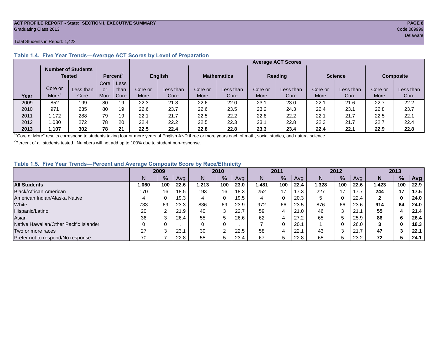#### **ACT PROFILE REPORT - State: SECTION I, EXECUTIVE SUMMARY PAGE 8** Graduating Class 2013 Code 089999

#### Total Students in Report: 1,423

|      |         | <b>Number of Students</b><br>Tested |      | Percent <sup>2</sup> |         | <b>English</b> |         | <b>Mathematics</b> | <b>Reading</b> |           | <b>Science</b> |           | <b>Composite</b> |           |
|------|---------|-------------------------------------|------|----------------------|---------|----------------|---------|--------------------|----------------|-----------|----------------|-----------|------------------|-----------|
|      |         |                                     | Core | Less                 |         |                |         |                    |                |           |                |           |                  |           |
|      | Core or | Less than                           | or   | than                 | Core or | Less than      | Core or | Less than          | Core or        | Less than | Core or        | Less than | Core or          | Less than |
| Year | More    | Core                                | More | Core                 | More    | Core           | More    | Core               | More           | Core      | More           | Core      | More             | Core      |
| 2009 | 852     | 199                                 | 80   | 19                   | 22.3    | 21.8           | 22.6    | 22.0               | 23.1           | 23.0      | 22.7           | 21.6      | 22.7             | 22.2      |
| 2010 | 971     | 235                                 | 80   | 19                   | 22.6    | 23.7           | 22.6    | 23.5               | 23.2           | 24.3      | 22.4           | 23.1      | 22.8             | 23.7      |
| 2011 | 1.172   | 288                                 | 79   | 19                   | 22.1    | 21.7           | 22.5    | 22.2               | 22.8           | 22.2      | 22.1           | 21.7      | 22.5             | 22.1      |
| 2012 | 0.030   | 272                                 | 78   | 20                   | 22.4    | 22.2           | 22.5    | 22.3               | 23.1           | 22.8      | 22.3           | 21.7      | 22.7             | 22.4      |
| 2013 | ,107    | 302                                 | 78   | 21                   | 22.5    | 22.4           | 22.8    | 22.8               | 23.3           | 23.4      | 22.4           | 22.1      | 22.9             | 22.8      |

#### **Table 1.4. Five Year Trends—Average ACT Scores by Level of Preparation**

<sup>1</sup>"Core or More" results correspond to students taking four or more years of English AND three or more years each of math, social studies, and natural science.

 $2$ Percent of all students tested. Numbers will not add up to 100% due to student non-response.

#### **Table 1.5. Five Year Trends—Percent and Average Composite Score by Race/Ethnicity**

|                                        | 2009  |      | 2010 |       | 2011            |      | 2012  |              |      | 2013  |     |      |       |               |      |
|----------------------------------------|-------|------|------|-------|-----------------|------|-------|--------------|------|-------|-----|------|-------|---------------|------|
|                                        |       | $\%$ | Avg  | N     | $\frac{9}{6}$   | Avg  | N     | %            | Avg  | N     | %   | Ava  | N     | $\frac{9}{6}$ | Avg  |
| <b>All Students</b>                    | 1.060 | 100  | 22.6 | 1.213 | 100             | 23.0 | 1,481 | 100          | 22.4 | 1.328 | 100 | 22.6 | 1.423 | 100           | 22.9 |
| <b>Black/African American</b>          | 170   | 16   | 18.5 | 193   | 16              | 18.3 | 252   | 17           | 17.3 | 227   |     | 17.7 | 244   | 17            | 17.5 |
| American Indian/Alaska Native          |       |      | 19.3 | 4     | $\mathbf 0$     | 19.5 | 4     | 0            | 20.3 | 5     |     | 22.4 | 2     | 0             | 24.0 |
| White                                  | 733   | 69   | 23.3 | 836   | 69              | 23.9 | 972   | 66           | 23.5 | 876   | 66  | 23.6 | 914   | 64            | 24.0 |
| Hispanic/Latino                        | 20    |      | 21.9 | 40    | ົ<br>ు          | 22.7 | 59    | 4            | 21.0 | 46    |     | 21.1 | 55    |               | 21.4 |
| Asian                                  | 36    |      | 26.4 | 55    | 5               | 26.6 | 62    | 4            | 27.2 | 65    |     | 25.9 | 86    | -6            | 26.4 |
| Native Hawaiian/Other Pacific Islander |       |      |      | 0     | 0               |      |       | 0            | 20.7 |       |     | 26.0 | 3     | 0             | 18.3 |
| Two or more races                      | 27    |      | 23.  | 30    | $\sqrt{2}$<br>∠ | 22.5 | 58    | 4            | 22.1 | 43    |     | 21.7 | 47    |               | 22.1 |
| Prefer not to respond/No response      | 70    |      | 22.8 | 55    |                 | 23.4 | 67    | <sub>5</sub> | 22.8 | 65    |     | 23.2 | 72    |               | 24.1 |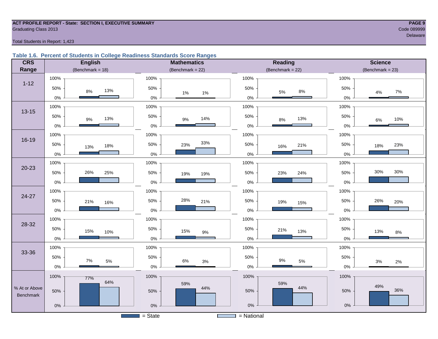#### **ACT PROFILE REPORT - State: SECTION I, EXECUTIVE SUMMARY PAGE 9** Code 089999 Craduating Class 2013

Total Students in Report: 1,423

#### **Table 1.6. Percent of Students in College Readiness Standards Score Ranges**

| <b>CRS</b>                 | <b>English</b>          | <b>Mathematics</b>     | <b>Science</b>       |                     |  |  |
|----------------------------|-------------------------|------------------------|----------------------|---------------------|--|--|
| Range                      | (Benchmark = $18$ )     | (Benchmark = $22$ )    | (Benchmark = $22$ )  | $(Benchmark = 23)$  |  |  |
|                            | 100%                    | 100%                   | 100%                 | 100%                |  |  |
| $1 - 12$                   | 50%<br>13%<br>$8\%$     | 50%<br>$1\%$<br>1%     | 50%<br>$8\%$<br>5%   | 50%<br>7%<br>4%     |  |  |
|                            | $0\%$                   | $0\%$                  | $0\%$                | 0%                  |  |  |
| $13 - 15$                  | 100%                    | 100%                   | 100%                 | 100%                |  |  |
|                            | $50\%$<br>13%<br>$9\%$  | 50%<br>14%<br>$9\%$    | 50%<br>13%<br>$8%$   | 50%<br>10%<br>$6\%$ |  |  |
|                            | $0\%$                   | $0\%$                  | $0\%$                | $0\%$               |  |  |
|                            | 100%                    | 100%                   | 100%                 | 100%                |  |  |
| 16-19                      | 50%<br>18%<br>13%       | 33%<br>50%<br>23%      | 50%<br>21%<br>16%    | 50%<br>23%<br>18%   |  |  |
|                            | $0\%$                   | $0\%$                  | $0\%$                | 0%                  |  |  |
|                            | 100%                    | 100%                   | 100%                 | 100%                |  |  |
| $20 - 23$                  | 50%<br>26%<br>25%       | 50%<br>19%<br>19%      | 50%<br>24%<br>23%    | 30%<br>30%<br>50%   |  |  |
|                            | $0\%$                   | $0\%$                  | $0\%$                | 0%                  |  |  |
|                            | 100%                    | 100%                   | 100%                 | 100%                |  |  |
| 24-27                      | 50%<br>21%<br>16%       | 28%<br>50%<br>21%      | 50%<br>19%<br>15%    | 26%<br>50%<br>20%   |  |  |
|                            | $0\%$                   | $0\%$                  | 0%                   | 0%                  |  |  |
|                            | 100%                    | 100%                   | 100%                 | 100%                |  |  |
| 28-32                      | 50%<br>15%<br>10%       | 50%<br>15%<br>$9\%$    | 50%<br>21%<br>13%    | 50%<br>13%<br>$8\%$ |  |  |
|                            | $0\%$                   | $0\%$                  | $0\%$                | 0%                  |  |  |
|                            | 100%                    | 100%                   | 100%                 | 100%                |  |  |
| 33-36                      | 50%                     | 50%                    | 50%                  | 50%                 |  |  |
|                            | $7\%$<br>$5\%$<br>$0\%$ | $6\%$<br>$3%$<br>$0\%$ | $9\%$<br>5%<br>$0\%$ | 3%<br>2%<br>$0\%$   |  |  |
|                            | 100%<br>77%             | 100%                   | 100%                 | 100%                |  |  |
|                            | 64%                     | 59%                    | 59%                  | 49%                 |  |  |
| % At or Above<br>Benchmark | 50%                     | 44%<br>50%             | 44%<br>50%           | 36%<br>50%          |  |  |
|                            | $0\%$                   | $0\%$                  | $0\%$                | $0\%$               |  |  |
|                            |                         |                        |                      |                     |  |  |
|                            |                         | $=$ State              | $=$ National         |                     |  |  |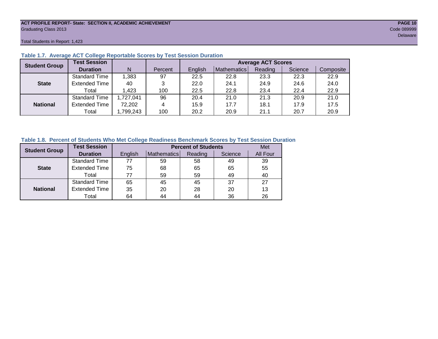#### **ACT PROFILE REPORT- State: SECTION II, ACADEMIC ACHIEVEMENT PAGE 10** Graduating Class 2013 Code 089999

Total Students in Report: 1,423

| <b>Student Group</b> | <b>Test Session</b>  |           |         |         |             | <b>Average ACT Scores</b> |         |           |
|----------------------|----------------------|-----------|---------|---------|-------------|---------------------------|---------|-----------|
|                      | <b>Duration</b>      | N         | Percent | English | Mathematics | Reading                   | Science | Composite |
|                      | Standard Time        | 1,383     | 97      | 22.5    | 22.8        | 23.3                      | 22.3    | 22.9      |
| <b>State</b>         | <b>Extended Time</b> | 40        | 3       | 22.0    | 24.1        | 24.9                      | 24.6    | 24.0      |
|                      | Total                | 1,423     | 100     | 22.5    | 22.8        | 23.4                      | 22.4    | 22.9      |
|                      | <b>Standard Time</b> | 1,727,041 | 96      | 20.4    | 21.0        | 21.3                      | 20.9    | 21.0      |
| <b>National</b>      | <b>Extended Time</b> | 72,202    | 4       | 15.9    | 17.7        | 18.1                      | 17.9    | 17.5      |
|                      | Total                | ,799,243  | 100     | 20.2    | 20.9        | 21.1                      | 20.7    | 20.9      |

#### **Table 1.7. Average ACT College Reportable Scores by Test Session Duration**

#### **Table 1.8. Percent of Students Who Met College Readiness Benchmark Scores by Test Session Duration**

| <b>Student Group</b> | <b>Test Session</b>  |         |             | <b>Percent of Students</b> | Met     |          |
|----------------------|----------------------|---------|-------------|----------------------------|---------|----------|
|                      | <b>Duration</b>      | English | Mathematics | Reading                    | Science | All Four |
|                      | Standard Time        | 77      | 59          | 58                         | 49      | 39       |
| <b>State</b>         | <b>Extended Time</b> | 75      | 68          | 65                         | 65      | 55       |
|                      | Total                | 77      | 59          | 59                         | 49      | 40       |
|                      | <b>Standard Time</b> | 65      | 45          | 45                         | 37      | 27       |
| <b>National</b>      | <b>Extended Time</b> | 35      | 20          | 28                         | 20      | 13       |
|                      | Total                | 64      | 44          | 44                         | 36      | 26       |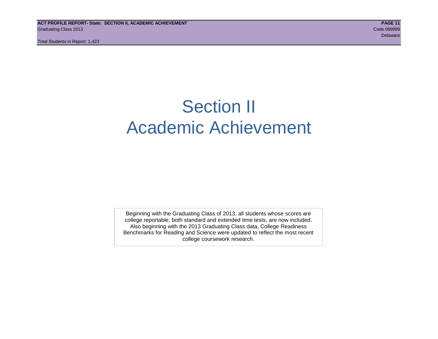**ACT PROFILE REPORT- State: SECTION II, ACADEMIC ACHIEVEMENT PAGE 11** Graduating Class 2013 Code 089999

Total Students in Report: 1,423

# Section II Academic Achievement

Beginning with the Graduating Class of 2013, all students whose scores are college reportable, both standard and extended time tests, are now included. Also beginning with the 2013 Graduating Class data, College Readiness Benchmarks for Reading and Science were updated to reflect the most recent college coursework research.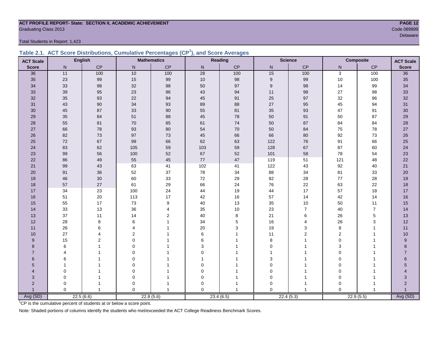#### **ACT PROFILE REPORT- State: SECTION II, ACADEMIC ACHIEVEMENT PAGE 12** Code 089999 Code 089999 Code 089999 Code 089999 Code 089999 Code 089999 Code 089999 Code 089999 Code 089999 Code 089999 Code 089999 Code 089999 Code 089999 Code 089999 Code 089999 Code 089999 Code 089999 Code 089999 Code 0

Total Students in Report: 1,423

|  | Table 2.1. ACT Score Distributions, Cumulative Percentages (CP <sup>1</sup> ), and Score Averages |  |  |  |
|--|---------------------------------------------------------------------------------------------------|--|--|--|
|  |                                                                                                   |  |  |  |

| <b>ACT Scale</b> |                       | <b>English</b> |                | <b>Mathematics</b> |                 | Reading   | <b>Science</b><br><b>Composite</b> |                | <b>ACT Scale</b> |                |                |
|------------------|-----------------------|----------------|----------------|--------------------|-----------------|-----------|------------------------------------|----------------|------------------|----------------|----------------|
| <b>Score</b>     | N                     | CP             | $\mathsf{N}$   | CP                 | N               | CP        | N                                  | CP             | N                | CP             | <b>Score</b>   |
| 36               | 11                    | 100            | 10             | 100                | $\overline{28}$ | 100       | 15                                 | 100            | 3                | 100            | 36             |
| 35               | 23                    | 99             | 15             | $99\,$             | $10$            | 98        | 9                                  | 99             | 10               | 100            | 35             |
| 34               | 33                    | 98             | 32             | 98                 | 50              | 97        | 9                                  | 98             | 14               | 99             | 34             |
| 33               | 39                    | 95             | 23             | 96                 | 43              | 94        | 11                                 | 98             | 27               | 98             | 33             |
| 32               | 35                    | 93             | 22             | 94                 | 45              | 91        | 25                                 | 97             | 32               | 96             | 32             |
| 31               | 43                    | 90             | 34             | 93                 | 89              | 88        | 27                                 | 95             | 45               | 94             | 31             |
| 30               | 45                    | 87             | 33             | $90\,$             | 55              | 81        | 35                                 | 93             | 47               | 91             | 30             |
| 29               | 35                    | 84             | 51             | 88                 | 45              | 78        | 50                                 | 91             | 50               | 87             | 29             |
| 28               | 55                    | 81             | $70\,$         | 85                 | 61              | 74        | 50                                 | 87             | 84               | 84             | 28             |
| 27               | 66                    | 78             | 93             | 80                 | 54              | 70        | 50                                 | 84             | 75               | 78             | $27\,$         |
| 26               | 82                    | 73             | 97             | $73\,$             | 45              | 66        | 66                                 | 80             | 92               | 73             | $26\,$         |
| 25               | 72                    | 67             | 99             | 66                 | 62              | 63        | 122                                | 76             | 91               | 66             | 25             |
| 24               | 83                    | 62             | 105            | 59                 | 103             | 59        | 128                                | 67             | 87               | 60             | 24             |
| 23               | 99                    | 56             | 100            | 52                 | 67              | 52        | 101                                | 58             | 78               | 54             | 23             |
| 22               | 86                    | 49             | 55             | 45                 | $77\,$          | 47        | 119                                | 51             | 121              | 48             | 22             |
| 21               | 99                    | 43             | 63             | 41                 | 102             | 41        | 122                                | 43             | 92               | 40             | 21             |
| 20               | 91                    | 36             | 52             | 37                 | 78              | 34        | 88                                 | 34             | 81               | 33             | 20             |
| 19               | 46                    | 30             | 60             | 33                 | $72\,$          | 29        | 82                                 | 28             | 77               | 28             | 19             |
| 18               | 57                    | 27             | 61             | 29                 | 66              | 24        | 76                                 | 22             | 63               | 22             | 18             |
| 17               | 34                    | 23             | 100            | 24                 | 44              | 19        | 44                                 | 17             | 57               | 18             | 17             |
| 16               | 51                    | 20             | 113            | 17                 | 42              | 16        | 57                                 | 14             | 42               | 14             | 16             |
| 15               | 55                    | 17             | 73             | 9                  | 40              | 13        | 35                                 | 10             | 50               | 11             | 15             |
| 14               | 33                    | 13             | 36             | $\overline{4}$     | 35              | $10$      | 23                                 | $\overline{7}$ | 40               | $\overline{7}$ | 14             |
| 13               | 37                    | 11             | 14             | $\overline{2}$     | 40              | 8         | 21                                 | 6              | 26               | 5              | 13             |
| 12               | 28                    | 8              | 6              |                    | 34              | 5         | 16                                 | $\overline{4}$ | 26               | 3              | 12             |
| 11               | 26                    | 6              | 4              |                    | 20              | 3         | 19                                 | 3              | 8                |                | 11             |
| 10               | 27                    | 4              | $\overline{2}$ |                    | 6               | 1         | 11                                 | $\overline{2}$ | $\mathbf{2}$     |                | 10             |
| 9                | 15                    | 2              | $\Omega$       |                    | 6               |           | 8                                  |                | $\Omega$         |                | 9              |
| 8                | 6                     |                | $\Omega$       |                    | 3               |           | $\mathbf 0$                        |                | 3                |                | 8              |
| $\overline{7}$   | $\boldsymbol{\Delta}$ |                | $\Omega$       |                    | $\Omega$        |           | 1                                  |                | $\Omega$         |                | $\overline{7}$ |
| $6\phantom{1}$   | 6                     |                | $\Omega$       |                    |                 |           | 3                                  |                | 0                |                | 6              |
| 5                |                       |                | $\Omega$       |                    | 0               |           | 0                                  |                | 0                |                | 5              |
| $\overline{4}$   | 0                     |                | 0              |                    | 0               |           | 0                                  |                | 0                |                | 4              |
| 3                | 0                     |                | 0              |                    | $\mathbf 0$     |           | 0                                  |                | $\mathbf 0$      |                | 3              |
| $\overline{2}$   | 0                     |                | 0              |                    | 0               |           | 0                                  |                | $\Omega$         |                | $\overline{c}$ |
| $\overline{1}$   | $\Omega$              | $\overline{1}$ | $\Omega$       |                    | $\Omega$        |           | $\Omega$                           | $\mathbf{1}$   | $\Omega$         |                | Avg (SD)       |
| Avg (SD)         |                       | 22.5(6.6)      |                | 22.8(5.6)          |                 | 23.4(6.5) |                                    | 22.4(5.3)      |                  | 22.9(5.5)      |                |

<sup>1</sup>CP is the cumulative percent of students at or below a score point.

Note: Shaded portions of columns identify the students who met/exceeded the ACT College Readiness Benchmark Scores.

delaware in the control of the control of the control of the control of the control of the control of the control of the control of the control of the control of the control of the control of the control of the control of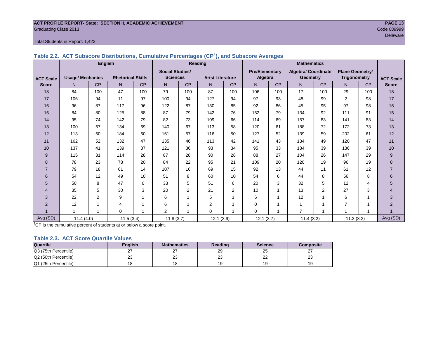#### **ACT PROFILE REPORT- State: SECTION II, ACADEMIC ACHIEVEMENT PAGE 13** Graduating Class 2013 Code 089999

#### Total Students in Report: 1,423

|                  |                         | <b>English</b> |                          |           | Reading                |           |                        |           | <b>Mathematics</b>    |           |                            |                |                        |           |                  |
|------------------|-------------------------|----------------|--------------------------|-----------|------------------------|-----------|------------------------|-----------|-----------------------|-----------|----------------------------|----------------|------------------------|-----------|------------------|
|                  |                         |                |                          |           | <b>Social Studies/</b> |           |                        |           | <b>Pre/Elementary</b> |           | <b>Algebra/ Coordinate</b> |                | <b>Plane Geometry/</b> |           |                  |
| <b>ACT Scale</b> | <b>Usage/ Mechanics</b> |                | <b>Rhetorical Skills</b> |           | <b>Sciences</b>        |           | <b>Arts/Literature</b> |           | Algebra               |           | <b>Geometry</b>            |                | <b>Trigonometry</b>    |           | <b>ACT Scale</b> |
| <b>Score</b>     | N <sub>1</sub>          | <b>CP</b>      | N <sub>1</sub>           | <b>CP</b> | N                      | <b>CP</b> | N                      | <b>CP</b> | N <sub>1</sub>        | <b>CP</b> | N.                         | <b>CP</b>      | N <sub>1</sub>         | <b>CP</b> | <b>Score</b>     |
| 18               | 84                      | 100            | 47                       | 100       | 79                     | 100       | 87                     | 100       | 106                   | 100       | 17                         | 100            | 29                     | 100       | 18               |
| 17               | 106                     | 94             | 11                       | 97        | 100                    | 94        | 127                    | 94        | 97                    | 93        | 48                         | 99             | $\overline{2}$         | 98        | 17               |
| 16               | 96                      | 87             | 117                      | 96        | 122                    | 87        | 130                    | 85        | 92                    | 86        | 45                         | 95             | 97                     | 98        | 16               |
| 15               | 84                      | 80             | 125                      | 88        | 87                     | 79        | 142                    | 76        | 152                   | 79        | 134                        | 92             | 111                    | 91        | 15               |
| 14               | 95                      | 74             | 142                      | 79        | 82                     | 73        | 109                    | 66        | 114                   | 69        | 157                        | 83             | 141                    | 83        | 14               |
| 13               | 100                     | 67             | 134                      | 69        | 140                    | 67        | 113                    | 58        | 120                   | 61        | 188                        | 72             | 172                    | 73        | 13               |
| 12               | 113                     | 60             | 184                      | 60        | 161                    | 57        | 116                    | 50        | 127                   | 52        | 139                        | 59             | 202                    | 61        | 12               |
| 11               | 162                     | 52             | 132                      | 47        | 135                    | 46        | 113                    | 42        | 141                   | 43        | 134                        | 49             | 120                    | 47        | 11               |
| 10               | 137                     | 41             | 139                      | 37        | 121                    | 36        | 93                     | 34        | 95                    | 33        | 184                        | 39             | 136                    | 39        | 10               |
| 9                | 115                     | 31             | 114                      | 28        | 87                     | 28        | 90                     | 28        | 88                    | 27        | 104                        | 26             | 147                    | 29        | $\boldsymbol{9}$ |
| 8                | 78                      | 23             | 78                       | 20        | 84                     | 22        | 95                     | 21        | 109                   | 20        | 120                        | 19             | 96                     | 19        | 8                |
| $\overline{7}$   | 79                      | 18             | 61                       | 14        | 107                    | 16        | 69                     | 15        | 92                    | 13        | 44                         | 11             | 61                     | 12        | $\overline{7}$   |
| 6                | 54                      | 12             | 49                       | 10        | 51                     | 8         | 60                     | 10        | 54                    | 6         | 44                         | 8              | 56                     | 8         | 6                |
| 5                | 50                      | 8              | 47                       | 6         | 33                     | 5         | 51                     | 6         | 20                    | 3         | 32                         | 5              | 12                     | 4         | 5                |
| 4                | 35                      | 5              | 30                       | 3         | 20                     | 2         | 21                     | 2         | 10                    | 1         | 13                         | $\overline{2}$ | 27                     | 3         | $\overline{4}$   |
| 3                | 22                      | $\overline{2}$ | 9                        |           | 6                      |           | 5                      | 1         | 6                     | 1         | 12                         | 1              | 6                      |           | 3                |
| $\overline{2}$   | 12                      |                | $\overline{4}$           |           | 6                      |           | 2                      |           | $\Omega$              | ۸         | 1                          | 1              |                        | 4         | $\overline{2}$   |
|                  |                         |                | $\mathbf 0$              |           | 2                      |           | 0                      |           | $\Omega$              |           | $\overline{7}$             | 1              |                        |           |                  |
| Avg (SD)         | 11.4(4.0)               |                | 11.5(3.4)                |           | 11.8(3.7)              |           | 12.1(3.9)              |           | 12.1(3.7)             |           | 11.4(3.2)                  |                | 11.3(3.2)              |           | Avg (SD)         |

**Table 2.2. ACT Subscore Distributions, Cumulative Percentages (CP<sup>1</sup> ), and Subscore Averages**

<sup>1</sup>CP is the cumulative percent of students at or below a score point.

#### **Table 2.3. ACT Score Quartile Values**

| <b>Quartile</b>      | Enalish  | <b>Mathematics</b> | Reading  | <b>Science</b>      | Composite |
|----------------------|----------|--------------------|----------|---------------------|-----------|
| Q3 (75th Percentile) | <u>L</u> |                    | 29       | 25                  |           |
| Q2 (50th Percentile) | 23       | מר<br>د∠           | nn<br>د∠ | $\sim$<br><u>__</u> | nn<br>د∠  |
| Q1 (25th Percentile) |          |                    |          | $\sim$<br>Y         |           |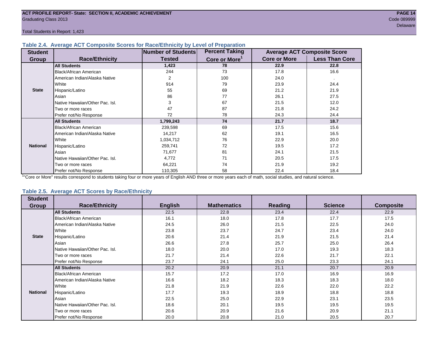Total Students in Report: 1,423

#### **Table 2.4. Average ACT Composite Scores for Race/Ethnicity by Level of Preparation**

| <b>Student</b>  |                                 | Number of Students | <b>Percent Taking</b>     |                     | <b>Average ACT Composite Score</b> |
|-----------------|---------------------------------|--------------------|---------------------------|---------------------|------------------------------------|
| <b>Group</b>    | <b>Race/Ethnicity</b>           | <b>Tested</b>      | Core or More <sup>1</sup> | <b>Core or More</b> | <b>Less Than Core</b>              |
|                 | <b>All Students</b>             | 1,423              | 78                        | 22.9                | 22.8                               |
|                 | <b>Black/African American</b>   | 244                | 73                        | 17.8                | 16.6                               |
|                 | American Indian/Alaska Native   | 2                  | 100                       | 24.0                | $\blacksquare$                     |
|                 | White                           | 914                | 79                        | 23.9                | 24.4                               |
| <b>State</b>    | Hispanic/Latino                 | 55                 | 69                        | 21.2                | 21.9                               |
|                 | Asian                           | 86                 | 77                        | 26.1                | 27.5                               |
|                 | Native Hawaiian/Other Pac. Isl. | 3                  | 67                        | 21.5                | 12.0                               |
|                 | I Two or more races             | 47                 | 87                        | 21.8                | 24.2                               |
|                 | Prefer not/No Response          | 72                 | 78                        | 24.3                | 24.4                               |
|                 | <b>All Students</b>             | 1,799,243          | 74                        | 21.7                | 18.7                               |
|                 | Black/African American          | 239,598            | 69                        | 17.5                | 15.6                               |
|                 | American Indian/Alaska Native   | 14,217             | 62                        | 19.1                | 16.5                               |
|                 | <b>I</b> White                  | 1,034,712          | 76                        | 22.9                | 20.0                               |
| <b>National</b> | Hispanic/Latino                 | 259,741            | 72                        | 19.5                | 17.2                               |
|                 | Asian                           | 71,677             | 81                        | 24.1                | 21.5                               |
|                 | Native Hawaiian/Other Pac. Isl. | 4,772              | 71                        | 20.5                | 17.5                               |
|                 | Two or more races               | 64,221             | 74                        | 21.9                | 19.2                               |
|                 | Prefer not/No Response          | 110,305            | 58                        | 22.4                | 18.4                               |

<sup>1</sup>"Core or More" results correspond to students taking four or more years of English AND three or more years each of math, social studies, and natural science.

#### **Table 2.5. Average ACT Scores by Race/Ethnicity**

| <b>Student</b>  |                                 |                |                    |                |                |                  |
|-----------------|---------------------------------|----------------|--------------------|----------------|----------------|------------------|
| <b>Group</b>    | <b>Race/Ethnicity</b>           | <b>English</b> | <b>Mathematics</b> | <b>Reading</b> | <b>Science</b> | <b>Composite</b> |
|                 | <b>All Students</b>             | 22.5           | 22.8               | 23.4           | 22.4           | 22.9             |
|                 | Black/African American          | 16.1           | 18.0               | 17.8           | 17.7           | 17.5             |
|                 | American Indian/Alaska Native   | 24.5           | 26.0               | 21.5           | 22.5           | 24.0             |
|                 | White                           | 23.8           | 23.7               | 24.7           | 23.4           | 24.0             |
| <b>State</b>    | Hispanic/Latino                 | 20.6           | 21.4               | 21.9           | 21.5           | 21.4             |
|                 | Asian                           | 26.6           | 27.8               | 25.7           | 25.0           | 26.4             |
|                 | Native Hawaiian/Other Pac. Isl. | 18.0           | 20.0               | 17.0           | 19.3           | 18.3             |
|                 | Two or more races               | 21.7           | 21.4               | 22.6           | 21.7           | 22.1             |
|                 | Prefer not/No Response          | 23.7           | 24.1               | 25.0           | 23.3           | 24.1             |
|                 | <b>All Students</b>             | 20.2           | 20.9               | 21.1           | 20.7           | 20.9             |
|                 | Black/African American          | 15.7           | 17.2               | 17.0           | 16.9           | 16.9             |
|                 | American Indian/Alaska Native   | 16.6           | 18.2               | 18.3           | 18.3           | 18.0             |
|                 | White                           | 21.8           | 21.9               | 22.6           | 22.0           | 22.2             |
| <b>National</b> | Hispanic/Latino                 | 17.7           | 19.3               | 18.9           | 18.8           | 18.8             |
|                 | Asian                           | 22.5           | 25.0               | 22.9           | 23.1           | 23.5             |
|                 | Native Hawaiian/Other Pac. Isl. | 18.6           | 20.1               | 19.5           | 19.5           | 19.5             |
|                 | Two or more races               | 20.6           | 20.9               | 21.6           | 20.9           | 21.1             |
|                 | Prefer not/No Response          | 20.0           | 20.8               | 21.0           | 20.5           | 20.7             |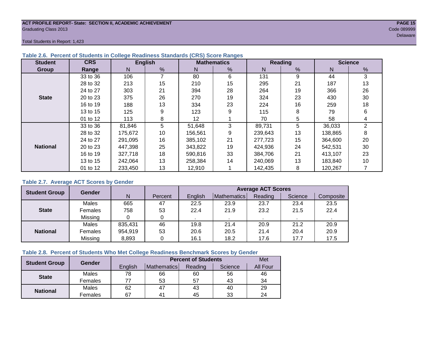#### **ACT PROFILE REPORT- State: SECTION II, ACADEMIC ACHIEVEMENT PAGE 15** Graduating Class 2013 Code 089999

Total Students in Report: 1,423

| <b>Student</b>  | <b>CRS</b> |         | <b>English</b> |         | <b>Mathematics</b> |         | <b>Reading</b> |         | <b>Science</b> |
|-----------------|------------|---------|----------------|---------|--------------------|---------|----------------|---------|----------------|
| Group           | Range      | N       | %              | N       | %                  | N       | %              | N       | %              |
|                 | 33 to 36   | 106     | 7              | 80      | 6                  | 131     | 9              | 44      | 3              |
|                 | 28 to 32   | 213     | 15             | 210     | 15                 | 295     | 21             | 187     | 13             |
|                 | 24 to 27   | 303     | 21             | 394     | 28                 | 264     | 19             | 366     | 26             |
| <b>State</b>    | 20 to 23   | 375     | 26             | 270     | 19                 | 324     | 23             | 430     | 30             |
|                 | 16 to 19   | 188     | 13             | 334     | 23                 | 224     | 16             | 259     | 18             |
|                 | 13 to 15   | 125     | 9              | 123     | 9                  | 115     | 8              | 79      | 6              |
|                 | 01 to 12   | 113     | 8              | 12      |                    | 70      | 5              | 58      | 4              |
|                 | 33 to 36   | 81,846  | 5              | 51,648  | 3                  | 89,731  | 5              | 36,033  | $\overline{2}$ |
|                 | 28 to 32   | 175,672 | 10             | 156,561 | 9                  | 239,643 | 13             | 138,865 | 8              |
|                 | 24 to 27   | 291,095 | 16             | 385,102 | 21                 | 277,723 | 15             | 364,600 | 20             |
| <b>National</b> | 20 to 23   | 447,398 | 25             | 343,822 | 19                 | 424,936 | 24             | 542,531 | 30             |
|                 | 16 to 19   | 327,718 | 18             | 590,816 | 33                 | 384,706 | 21             | 413,107 | 23             |
|                 | 13 to 15   | 242,064 | 13             | 258,384 | 14                 | 240,069 | 13             | 183,840 | 10             |
|                 | 01 to 12   | 233,450 | 13             | 12,910  |                    | 142,435 | 8              | 120,267 |                |

#### **Table 2.6. Percent of Students in College Readiness Standards (CRS) Score Ranges**

#### **Table 2.7. Average ACT Scores by Gender**

| <b>Student Group</b> | <b>Gender</b> |         |         | <b>Average ACT Scores</b> |                    |         |         |           |
|----------------------|---------------|---------|---------|---------------------------|--------------------|---------|---------|-----------|
|                      |               | N       | Percent | Enalish                   | <b>Mathematics</b> | Reading | Science | Composite |
|                      | Males         | 665     | 47      | 22.5                      | 23.9               | 23.7    | 23.4    | 23.5      |
| <b>State</b>         | Females       | 758     | 53      | 22.4                      | 21.9               | 23.2    | 21.5    | 22.4      |
|                      | Missing       |         |         |                           |                    |         |         |           |
|                      | Males         | 835,431 | 46      | 19.8                      | 21.4               | 20.9    | 21.2    | 20.9      |
| <b>National</b>      | Females       | 954,919 | 53      | 20.6                      | 20.5               | 21.4    | 20.4    | 20.9      |
|                      | Missing       | 8,893   |         | 16.1                      | 18.2               | 17.6    | 17.7    | 17.5      |

#### **Table 2.8. Percent of Students Who Met College Readiness Benchmark Scores by Gender**

| <b>Student Group</b> | <b>Gender</b> |         | <b>Percent of Students</b> | Met     |         |          |
|----------------------|---------------|---------|----------------------------|---------|---------|----------|
|                      |               | English | Mathematics                | Reading | Science | All Four |
| <b>State</b>         | Males         | 78      | 66                         | 60      | 56      | 46       |
|                      | Females       |         | 53                         | 57      | 43      | 34       |
|                      | Males         | 62      | 47                         | 43      | 40      | 29       |
| <b>National</b>      | Females       | 67      | 4 <sup>1</sup>             | 45      | 33      | 24       |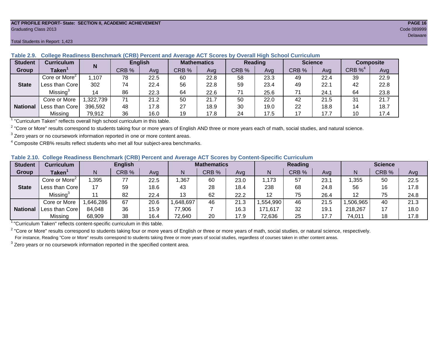#### **ACT PROFILE REPORT- State: SECTION II, ACADEMIC ACHIEVEMENT PAGE 16** Graduating Class 2013 Code 089999

**N** 

| $uv$ iv $u$    | <b>OURGUG INGURINGS DUIRINIMIN</b> |          | ,,,,,,, |                |       | L GIGGIIL GIIM AVGIQUE AU L'OGUIGO DV |       |                | <u>overan man ochool oannearann</u> |      |                  |      |
|----------------|------------------------------------|----------|---------|----------------|-------|---------------------------------------|-------|----------------|-------------------------------------|------|------------------|------|
| <b>Student</b> | <b>Curriculum</b>                  | N        |         | <b>English</b> |       | <b>Mathematics</b>                    |       | <b>Reading</b> | <b>Science</b>                      |      | <b>Composite</b> |      |
| Group          | Taken <sup>1</sup>                 |          | CRB %   | Avg            | CRB % | Avg                                   | CRB % | Avg            | CRB %                               | Avg  | $CRB\%^4$        | Avg  |
|                | Core or More <sup>2</sup>          | .107     | 78      | 22.5           | 60    | 22.8                                  | 58    | 23.3           | 49                                  | 22.4 | 39               | 22.9 |
| <b>State</b>   | Less than Core                     | 302      | 74      | 22.4           | 56    | 22.8                                  | 59    | 23.4           | 49                                  | 22.1 | 42               | 22.8 |
|                | Missing <sup>3</sup>               | 14       | 86      | 22.3           | 64    | 22.6                                  | 71    | 25.6           |                                     | 24.1 | 64               | 23.8 |
|                | Core or More                       | ,322,739 | 71      | 21.2           | 50    | 21.7                                  | 50    | 22.0           | 42                                  | 21.5 | 31               | 21.7 |
| National       | Less than Core                     | 396,592  | 48      | 17.8           | 27    | 18.9                                  | 30    | 19.0           | 22                                  | 18.8 | 14               | 18.7 |
|                | Missing                            | 79,912   | 36      | 16.0           | 19    | 17.8                                  | 24    | 17.5           |                                     | 17.7 | 10               | 17.4 |

**Table 2.9. College Readiness Benchmark (CRB) Percent and Average ACT Scores by Overall High School Curriculum**

<sup>1</sup> "Curriculum Taken" reflects overall high school curriculum in this table.

 $^2$  "Core or More" results correspond to students taking four or more years of English AND three or more years each of math, social studies, and natural science.

 $3$  Zero years or no coursework information reported in one or more content areas.

 $4$  Composite CRB% results reflect students who met all four subject-area benchmarks.

| Table 2.10. College Readiness Benchmark (CRB) Percent and Average ACT Scores by Content-Specific Curriculum |
|-------------------------------------------------------------------------------------------------------------|
|-------------------------------------------------------------------------------------------------------------|

| <b>Student</b>  | Curriculum                |          | <b>English</b> |      |          | <b>Mathematics</b><br>Reading |      |          |       | <b>Science</b> |          |       |      |
|-----------------|---------------------------|----------|----------------|------|----------|-------------------------------|------|----------|-------|----------------|----------|-------|------|
| Group           | <b>Taken</b>              |          | CRB %          | Avg  |          | CRB %                         | Avg  | N        | CRB % | Avg            | N        | CRB % | Avg  |
|                 | Core or More <sup>2</sup> | ,395     | 77             | 22.5 | ,367     | 60                            | 23.0 | .173     | 57    | 23.7           | .355     | 50    | 22.5 |
| <b>State</b>    | Less than Core            | 17       | 59             | 18.6 | 43       | 28                            | 18.4 | 238      | 68    | 24.8           | 56       | 16    | 17.8 |
|                 | Missing <sup>3</sup>      |          | 82             | 22.4 | 13       | 62                            | 22.2 | 12       | 75    | 26.4           | 12       | 75    | 24.8 |
|                 | Core or More              | ,646,286 | 67             | 20.6 | .648,697 | 46                            | 21.3 | .554,990 | 46    | 21.5           | .506,965 | 40    | 21.3 |
| <b>National</b> | Less than Core            | 84,048   | 36             | 15.9 | 77,906   |                               | 16.3 | 171,617  | 32    | 19.7           | 218,267  |       | 18.0 |
|                 | Missing                   | 68,909   | 38             | 16.4 | 72,640   | 20                            | 17.9 | 72,636   | 25    | 17.7           | 74,011   | 18    | 17.8 |

<sup>1</sup>"Curriculum Taken" reflects content-specific curriculum in this table.

<sup>2</sup> "Core or More" results correspond to students taking four or more years of English or three or more years of math, social studies, or natural science, respectively. For instance, Reading "Core or More" results correspond to students taking three or more years of social studies, regardless of courses taken in other content areas.

 $3$  Zero years or no coursework information reported in the specified content area.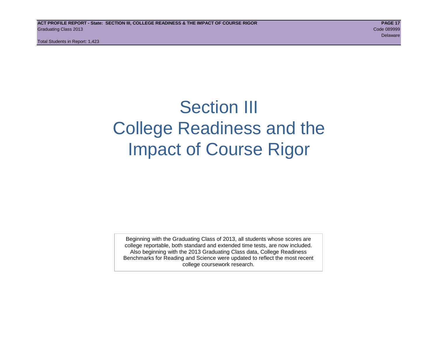Total Students in Report: 1,423

# Section III College Readiness and the Impact of Course Rigor

Beginning with the Graduating Class of 2013, all students whose scores are college reportable, both standard and extended time tests, are now included. Also beginning with the 2013 Graduating Class data, College Readiness Benchmarks for Reading and Science were updated to reflect the most recent college coursework research.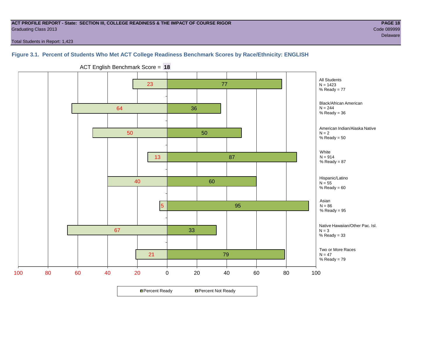#### **ACT PROFILE REPORT - State: SECTION III, COLLEGE READINESS & THE IMPACT OF COURSE RIGOR PAGE 18** Graduating Class 2013 Code 089999

delaware in the control of the control of the control of the control of the control of the Delaware Delaware i

Total Students in Report: 1,423

#### **Figure 3.1. Percent of Students Who Met ACT College Readiness Benchmark Scores by Race/Ethnicity: ENGLISH**



ACT English Benchmark Score = **18**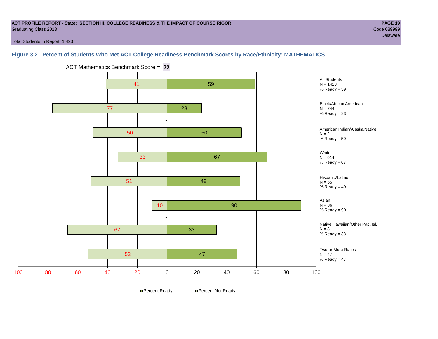#### **ACT PROFILE REPORT - State: SECTION III, COLLEGE READINESS & THE IMPACT OF COURSE RIGOR PAGE 19** Graduating Class 2013 Code 089999

Total Students in Report: 1,423

#### **Figure 3.2. Percent of Students Who Met ACT College Readiness Benchmark Scores by Race/Ethnicity: MATHEMATICS**

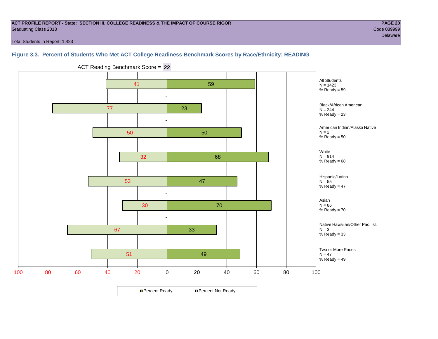#### **ACT PROFILE REPORT - State: SECTION III, COLLEGE READINESS & THE IMPACT OF COURSE RIGOR PAGE 20** Graduating Class 2013 Code 089999

Total Students in Report: 1,423

**Figure 3.3. Percent of Students Who Met ACT College Readiness Benchmark Scores by Race/Ethnicity: READING**



ACT Reading Benchmark Score = **22**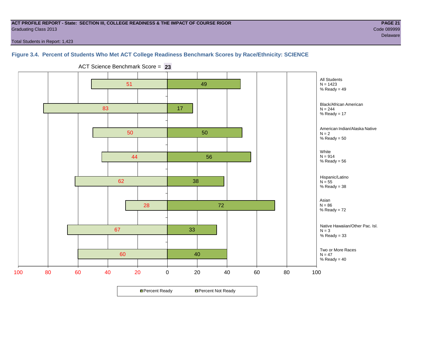#### **ACT PROFILE REPORT - State: SECTION III, COLLEGE READINESS & THE IMPACT OF COURSE RIGOR PAGE 21** Graduating Class 2013 Code 089999

delaware in the control of the control of the control of the control of the control of the Delaware Delaware i

Total Students in Report: 1,423

#### **Figure 3.4. Percent of Students Who Met ACT College Readiness Benchmark Scores by Race/Ethnicity: SCIENCE**



ACT Science Benchmark Score = **23**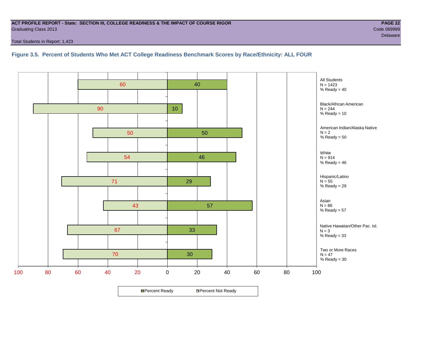#### **ACT PROFILE REPORT - State: SECTION III, COLLEGE READINESS & THE IMPACT OF COURSE RIGOR PAGE 22** Graduating Class 2013 Code 089999

Total Students in Report: 1,423

**Figure 3.5. Percent of Students Who Met ACT College Readiness Benchmark Scores by Race/Ethnicity: ALL FOUR**

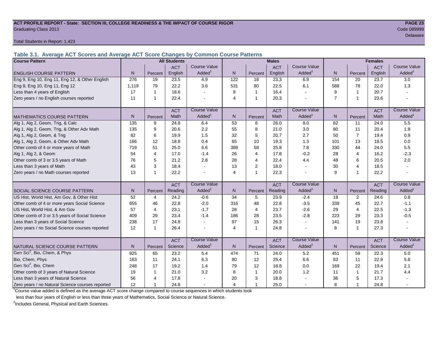#### **ACT PROFILE REPORT - State: SECTION III, COLLEGE READINESS & THE IMPACT OF COURSE RIGOR PAGE 23** Graduating Class 2013 Code 089999

Total Students in Report: 1,423

**Table 3.1. Average ACT Scores and Average ACT Score Changes by Common Course Patterns**

| <b>Course Pattern</b>                            |       |                | <b>All Students</b> |                     | <b>Males</b>   |                |            |                       |                |                | <b>Females</b> |                        |
|--------------------------------------------------|-------|----------------|---------------------|---------------------|----------------|----------------|------------|-----------------------|----------------|----------------|----------------|------------------------|
|                                                  |       |                | <b>ACT</b>          | <b>Course Value</b> |                |                | <b>ACT</b> | <b>Course Value</b>   |                |                | <b>ACT</b>     | <b>Course Value</b>    |
| <b>ENGLISH COURSE PATTERN</b>                    | N.    | Percent        | English             | Added <sup>1</sup>  | N              | Percent        | English    | Added <sup>1</sup>    | $\mathsf{N}$   | Percent        | English        | A d d e d <sup>1</sup> |
| Eng 9, Eng 10, Eng 11, Eng 12, & Other English   | 276   | 19             | 23.5                | 4.9                 | 122            | 18             | 23.3       | 6.9                   | 154            | 20             | 23.7           | 3.0                    |
| Eng 9, Eng 10, Eng 11, Eng 12                    | 1,119 | 79             | 22.2                | 3.6                 | 531            | 80             | 22.5       | 6.1                   | 588            | 78             | 22.0           | 1.3                    |
| Less than 4 years of English                     | 17    | $\mathbf 1$    | 18.6                |                     | 8              | $\overline{1}$ | 16.4       | $\overline{a}$        | 9              | $\overline{1}$ | 20.7           |                        |
| Zero years / no English courses reported         | 11    | -1             | 22.4                |                     | $\overline{4}$ | $\mathbf{1}$   | 20.3       |                       | $\overline{7}$ | $\overline{1}$ | 23.6           |                        |
|                                                  |       |                | <b>ACT</b>          | <b>Course Value</b> |                |                | <b>ACT</b> | <b>Course Value</b>   |                |                | <b>ACT</b>     | <b>Course Value</b>    |
| <b>MATHEMATICS COURSE PATTERN</b>                | N.    | Percent        | Math                | Added               | N.             | Percent        | Math       | $A$ dded <sup>1</sup> | N              | Percent        | Math           | $A$ dded <sup>1</sup>  |
| Alg 1, Alg 2, Geom, Trig, & Calc                 | 135   | 9              | 24.8                | 6.4                 | 53             | 8              | 26.0       | 8.0                   | 82             | 11             | 24.0           | 5.5                    |
| Alg 1, Alg 2, Geom, Trig, & Other Adv Math       | 135   | 9              | 20.6                | 2.2                 | 55             | 8              | 21.0       | 3.0                   | 80             | 11             | 20.4           | 1.9                    |
| Alg 1, Alg 2, Geom, & Trig                       | 82    | 6              | 19.9                | 1.5                 | 32             | 5              | 20.7       | 2.7                   | 50             | $\overline{7}$ | 19.4           | 0.9                    |
| Alg 1, Alg 2, Geom, & Other Adv Math             | 166   | 12             | 18.8                | 0.4                 | 65             | 10             | 19.3       | 1.3                   | 101            | 13             | 18.5           | 0.0                    |
| Other comb of 4 or more years of Math            | 719   | 51             | 25.0                | 6.6                 | 389            | 58             | 25.8       | 7.8                   | 330            | 44             | 24.0           | 5.5                    |
| Alg 1, Alg 2, & Geom                             | 54    | $\overline{4}$ | 17.0                | $-1.4$              | 26             | $\overline{4}$ | 17.8       | $-0.2$                | 28             | $\overline{4}$ | 16.2           | $-2.3$                 |
| Other comb of 3 or 3.5 years of Math             | 76    | 5              | 21.2                | 2.8                 | 28             | $\overline{4}$ | 22.4       | 4.4                   | 48             | 6              | 20.5           | 2.0                    |
| Less than 3 years of Math                        | 43    | 3              | 18.4                |                     | 13             | 2              | 18.0       | $\overline{a}$        | 30             | 4              | 18.5           |                        |
| Zero years / no Math courses reported            | 13    | $\mathbf 1$    | 22.2                |                     | $\overline{4}$ | $\mathbf{1}$   | 22.3       |                       | 9              | 1              | 22.2           |                        |
|                                                  |       |                | <b>ACT</b>          | <b>Course Value</b> |                |                | <b>ACT</b> | <b>Course Value</b>   |                |                | <b>ACT</b>     | <b>Course Value</b>    |
| <b>I</b> SOCIAL SCIENCE COURSE PATTERN           | N     | Percent        | Reading             | Added               | N              | Percent        | Reading    | Added                 | N              | Percent        | Reading        | A d d e d <sup>1</sup> |
| US Hist, World Hist, Am Gov, & Other Hist        | 52    | 4              | 24.2                | $-0.6$              | 34             | 5              | 23.9       | $-2.4$                | 18             | 2              | 24.6           | 0.8                    |
| Other comb of 4 or more years Social Science     | 655   | 46             | 22.8                | $-2.0$              | 316            | 48             | 22.8       | $-3.5$                | 339            | 45             | 22.7           | $-1.1$                 |
| US Hist, World Hist, & Am Gov                    | 57    | 4              | 23.1                | $-1.7$              | 28             | $\overline{4}$ | 23.7       | $-2.6$                | 29             | $\overline{4}$ | 22.5           | $-1.3$                 |
| Other comb of 3 or 3.5 years of Social Science   | 409   | 29             | 23.4                | $-1.4$              | 186            | 28             | 23.5       | $-2.8$                | 223            | 29             | 23.3           | $-0.5$                 |
| Less than 3 years of Social Science              | 238   | 17             | 24.8                |                     | 97             | 15             | 26.3       | $\sim$                | 141            | 19             | 23.8           |                        |
| Zero years / no Social Science courses reported  | 12    | $\mathbf 1$    | 26.4                |                     | $\overline{4}$ | $\overline{1}$ | 24.8       | $\blacksquare$        | 8              | $\overline{1}$ | 27.3           | $\sim$                 |
|                                                  |       |                | <b>ACT</b>          | <b>Course Value</b> |                |                | <b>ACT</b> | <b>Course Value</b>   |                |                | <b>ACT</b>     | <b>Course Value</b>    |
| NATURAL SCIENCE COURSE PATTERN                   | N.    | Percent        | Science             | Added               | N              | Percent        | Science    | Added                 | N              | Percent        | Science        | A d d e d <sup>1</sup> |
| Gen Sci <sup>2</sup> , Bio, Chem, & Phys         | 925   | 65             | 23.2                | 5.4                 | 474            | 71             | 24.0       | 5.2                   | 451            | 59             | 22.3           | 5.0                    |
| Bio, Chem, Phys                                  | 163   | 11             | 24.1                | 6.3                 | 80             | 12             | 25.4       | 6.6                   | 83             | 11             | 22.9           | 5.6                    |
| Gen Sci <sup>2</sup> , Bio, Chem                 | 248   | 17             | 19.2                | 1.4                 | 79             | 12             | 18.8       | 0.0                   | 169            | 22             | 19.4           | 2.1                    |
| Other comb of 3 years of Natural Science         | 19    | $\mathbf 1$    | 21.0                | 3.2                 | 8              | $\overline{1}$ | 20.0       | 1.2                   | 11             | $\mathbf{1}$   | 21.7           | 4.4                    |
| Less than 3 years of Natural Science             | 56    | 4              | 17.8                |                     | 20             | 3              | 18.8       |                       | 36             | 5              | 17.3           |                        |
| Zero years / no Natural Science courses reported | 12    |                | 24.8                |                     | $\overline{4}$ | $\overline{1}$ | 25.0       |                       | 8              | 1              | 24.8           |                        |

<sup>1</sup>Course value added is defined as the average ACT score change compared to course sequences in which students took

less than four years of English or less than three years of Mathematics, Social Science or Natural Science.

<sup>2</sup>Includes General, Physical and Earth Sciences.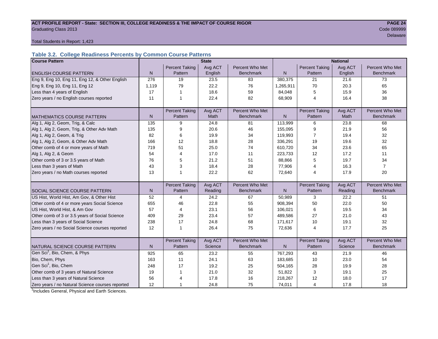#### ACT PROFILE REPORT - State: SECTION III, COLLEGE READINESS & THE IMPACT OF COURSE RIGOR **PAGE 24** Graduating Class 2013 Code 089999

delaware in the control of the control of the control of the control of the control of the control of the control of the control of the control of the control of the control of the control of the control of the control of

Total Students in Report: 1,423

#### **Table 3.2. College Readiness Percents by Common Course Patterns**

| <b>Course Pattern</b>                            |              |                       | <b>State</b> |                  | <b>National</b> |                       |         |                  |  |  |
|--------------------------------------------------|--------------|-----------------------|--------------|------------------|-----------------|-----------------------|---------|------------------|--|--|
|                                                  |              | <b>Percent Taking</b> | Avg ACT      | Percent Who Met  |                 | <b>Percent Taking</b> | Avg ACT | Percent Who Met  |  |  |
| <b>ENGLISH COURSE PATTERN</b>                    | $\mathsf{N}$ | Pattern               | English      | <b>Benchmark</b> | $\mathsf{N}$    | Pattern               | English | <b>Benchmark</b> |  |  |
| Eng 9, Eng 10, Eng 11, Eng 12, & Other English   | 276          | 19                    | 23.5         | 83               | 380,375         | 21                    | 21.6    | 73               |  |  |
| Eng 9, Eng 10, Eng 11, Eng 12                    | 1,119        | 79                    | 22.2         | 76               | 1,265,911       | 70                    | 20.3    | 65               |  |  |
| Less than 4 years of English                     | 17           | $\overline{1}$        | 18.6         | 59               | 84,048          | 5                     | 15.9    | 36               |  |  |
| Zero years / no English courses reported         | 11           | 1                     | 22.4         | 82               | 68,909          | $\overline{4}$        | 16.4    | 38               |  |  |
|                                                  |              |                       |              |                  |                 |                       |         |                  |  |  |
|                                                  |              | <b>Percent Taking</b> | Avg ACT      | Percent Who Met  |                 | <b>Percent Taking</b> | Avg ACT | Percent Who Met  |  |  |
| <b>MATHEMATICS COURSE PATTERN</b>                | N            | Pattern               | Math         | <b>Benchmark</b> | N               | Pattern               | Math    | <b>Benchmark</b> |  |  |
| Alg 1, Alg 2, Geom, Trig, & Calc                 | 135          | 9                     | 24.8         | 81               | 113,999         | 6                     | 23.8    | 68               |  |  |
| Alg 1, Alg 2, Geom, Trig, & Other Adv Math       | 135          | 9                     | 20.6         | 46               | 155,095         | 9                     | 21.9    | 56               |  |  |
| Alg 1, Alg 2, Geom, & Trig                       | 82           | 6                     | 19.9         | 34               | 119,993         | 7                     | 19.4    | 32               |  |  |
| Alg 1, Alg 2, Geom, & Other Adv Math             | 166          | 12                    | 18.8         | 28               | 336,291         | 19                    | 19.6    | 32               |  |  |
| Other comb of 4 or more years of Math            | 719          | 51                    | 25.0         | 74               | 610,720         | 34                    | 23.6    | 65               |  |  |
| Alg 1, Alg 2, & Geom                             | 54           | $\overline{4}$        | 17.0         | 11               | 223,733         | 12                    | 17.2    | 11               |  |  |
| Other comb of 3 or 3.5 years of Math             | 76           | 5                     | 21.2         | 51               | 88,866          | 5                     | 19.7    | 34               |  |  |
| Less than 3 years of Math                        | 43           | 3                     | 18.4         | 28               | 77,906          | 4                     | 16.3    | $\overline{7}$   |  |  |
| Zero years / no Math courses reported            | 13           | 1                     | 22.2         | 62               | 72,640          | 4                     | 17.9    | 20               |  |  |
|                                                  |              |                       |              |                  |                 |                       |         |                  |  |  |
|                                                  |              | <b>Percent Taking</b> | Avg ACT      | Percent Who Met  |                 | <b>Percent Taking</b> | Avg ACT | Percent Who Met  |  |  |
| <b>SOCIAL SCIENCE COURSE PATTERN</b>             | N            | Pattern               | Reading      | <b>Benchmark</b> | N               | Pattern               | Reading | <b>Benchmark</b> |  |  |
| US Hist, World Hist, Am Gov, & Other Hist        | 52           | 4                     | 24.2         | 67               | 50,989          | 3                     | 22.2    | 51               |  |  |
| Other comb of 4 or more years Social Science     | 655          | 46                    | 22.8         | 55               | 908,394         | 50                    | 22.0    | 50               |  |  |
| US Hist, World Hist, & Am Gov                    | 57           | 4                     | 23.1         | 56               | 106,021         | 6                     | 19.5    | 34               |  |  |
| Other comb of 3 or 3.5 years of Social Science   | 409          | 29                    | 23.4         | 57               | 489,586         | 27                    | 21.0    | 43               |  |  |
| Less than 3 years of Social Science              | 238          | 17                    | 24.8         | 68               | 171,617         | 10                    | 19.1    | 32               |  |  |
| Zero years / no Social Science courses reported  | 12           | 1                     | 26.4         | 75               | 72,636          | $\overline{4}$        | 17.7    | 25               |  |  |
|                                                  |              |                       |              |                  |                 |                       |         |                  |  |  |
|                                                  |              | <b>Percent Taking</b> | Avg ACT      | Percent Who Met  |                 | <b>Percent Taking</b> | Avg ACT | Percent Who Met  |  |  |
| NATURAL SCIENCE COURSE PATTERN                   | N            | Pattern               | Science      | <b>Benchmark</b> | N.              | Pattern               | Science | <b>Benchmark</b> |  |  |
| Gen Sci <sup>1</sup> , Bio, Chem, & Phys         | 925          | 65                    | 23.2         | 55               | 767,293         | 43                    | 21.9    | 46               |  |  |
| Bio, Chem, Phys                                  | 163          | 11                    | 24.1         | 63               | 183,685         | 10                    | 23.0    | 54               |  |  |
| Gen Sci <sup>1</sup> , Bio, Chem                 | 248          | 17                    | 19.2         | 25               | 504,165         | 28                    | 19.9    | 28               |  |  |
| Other comb of 3 years of Natural Science         | 19           | 1                     | 21.0         | 32               | 51,822          | 3                     | 19.1    | 25               |  |  |
| Less than 3 years of Natural Science             | 56           | 4                     | 17.8         | 16               | 218,267         | 12                    | 18.0    | 17               |  |  |
| Zero years / no Natural Science courses reported | 12           | $\mathbf{1}$          | 24.8         | 75               | 74,011          | $\overline{4}$        | 17.8    | 18               |  |  |

<sup>1</sup>Includes General, Physical and Earth Sciences.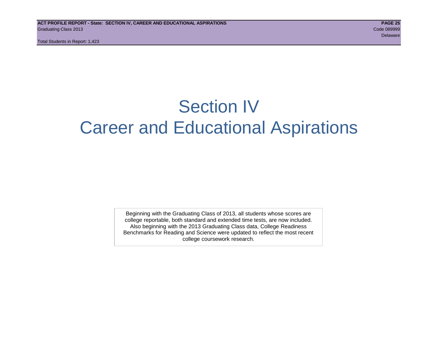Total Students in Report: 1,423

# Section IV Career and Educational Aspirations

Beginning with the Graduating Class of 2013, all students whose scores are college reportable, both standard and extended time tests, are now included. Also beginning with the 2013 Graduating Class data, College Readiness Benchmarks for Reading and Science were updated to reflect the most recent college coursework research.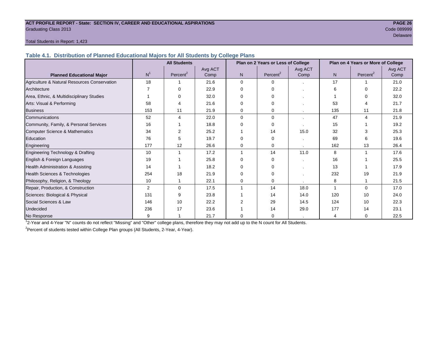#### **ACT PROFILE REPORT - State: SECTION IV, CAREER AND EDUCATIONAL ASPIRATIONS PAGE 26** Graduating Class 2013 Code 089999

### delaware in the control of the control of the control of the control of the control of the Delaware Delaware i

#### Total Students in Report: 1,423

**Table 4.1. Distribution of Planned Educational Majors for All Students by College Plans**

|                                              |                | <b>All Students</b>  |         |                | Plan on 2 Years or Less of College |         | Plan on 4 Years or More of College |                      |         |  |
|----------------------------------------------|----------------|----------------------|---------|----------------|------------------------------------|---------|------------------------------------|----------------------|---------|--|
|                                              |                |                      | Avg ACT |                |                                    | Avg ACT |                                    |                      | Avg ACT |  |
| <b>Planned Educational Major</b>             | N <sup>1</sup> | Percent <sup>2</sup> | Comp    | N <sub>1</sub> | Percent <sup>2</sup>               | Comp    | N.                                 | Percent <sup>2</sup> | Comp    |  |
| Agriculture & Natural Resources Conservation | 18             |                      | 21.6    | $\Omega$       | $\Omega$                           |         | 17                                 |                      | 21.0    |  |
| Architecture                                 |                |                      | 22.9    | 0              | $\Omega$                           |         | 6                                  | 0                    | 22.2    |  |
| Area, Ethnic, & Multidisciplinary Studies    |                |                      | 32.0    | 0              | ∩                                  |         |                                    |                      | 32.0    |  |
| Arts: Visual & Performing                    | 58             |                      | 21.6    | 0              | $\Omega$                           |         | 53                                 |                      | 21.7    |  |
| <b>Business</b>                              | 153            | 11                   | 21.9    | 0              | 0                                  |         | 135                                | 11                   | 21.8    |  |
| Communications                               | 52             | 4                    | 22.0    | 0              | $\Omega$                           |         | 47                                 | 4                    | 21.9    |  |
| Community, Family, & Personal Services       | 16             |                      | 18.8    | 0              | $\Omega$                           |         | 15                                 |                      | 19.2    |  |
| <b>Computer Science &amp; Mathematics</b>    | 34             |                      | 25.2    |                | 14                                 | 15.0    | 32                                 |                      | 25.3    |  |
| Education                                    | 76             | 5                    | 19.7    | $\Omega$       | $\Omega$                           |         | 69                                 | 6                    | 19.6    |  |
| Engineering                                  | 177            | 12                   | 26.6    | 0              | $\Omega$                           |         | 162                                | 13                   | 26.4    |  |
| Engineering Technology & Drafting            | 10             |                      | 17.2    | 1              | 14                                 | 11.0    | 8                                  | 1                    | 17.6    |  |
| English & Foreign Languages                  | 19             |                      | 25.8    | $\Omega$       | $\Omega$                           |         | 16                                 |                      | 25.5    |  |
| Health Administration & Assisting            | 14             |                      | 18.2    | 0              | ∩                                  |         | 13                                 |                      | 17.9    |  |
| Health Sciences & Technologies               | 254            | 18                   | 21.9    | 0              | $\Omega$                           |         | 232                                | 19                   | 21.9    |  |
| Philosophy, Religion, & Theology             | 10             |                      | 22.1    | 0              | 0                                  |         | 8                                  |                      | 21.5    |  |
| Repair, Production, & Construction           | $\overline{2}$ | $\Omega$             | 17.5    | 1              | 14                                 | 18.0    | $\overline{ }$                     | $\Omega$             | 17.0    |  |
| Sciences: Biological & Physical              | 131            | 9                    | 23.8    |                | 14                                 | 14.0    | 120                                | 10                   | 24.0    |  |
| Social Sciences & Law                        | 146            | 10                   | 22.2    | $\overline{2}$ | 29                                 | 14.5    | 124                                | 10                   | 22.3    |  |
| Undecided                                    | 236            | 17                   | 23.6    |                | 14                                 | 29.0    | 177                                | 14                   | 23.1    |  |
| No Response                                  | 9              |                      | 21.7    | $\Omega$       | 0                                  |         | $\overline{4}$                     | 0                    | 22.5    |  |

1 2-Year and 4-Year "N" counts do not reflect "Missing" and "Other" college plans, therefore they may not add up to the N count for All Students.

<sup>2</sup> Percent of students tested within College Plan groups (All Students, 2-Year, 4-Year).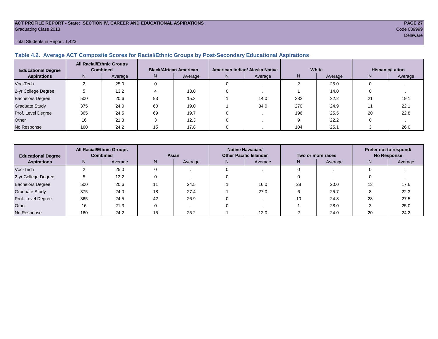#### **ACT PROFILE REPORT - State: SECTION IV, CAREER AND EDUCATIONAL ASPIRATIONS PAGE 27** Graduating Class 2013 Code 089999

#### Total Students in Report: 1,423

### **Table 4.2. Average ACT Composite Scores for Racial/Ethnic Groups by Post-Secondary Educational Aspirations**

| <b>Educational Degree</b> | <b>All Racial/Ethnic Groups</b><br><b>Combined</b> |         | <b>Black/African American</b> |         |   | American Indian/ Alaska Native |     | White   | Hispanic/Latino |         |  |
|---------------------------|----------------------------------------------------|---------|-------------------------------|---------|---|--------------------------------|-----|---------|-----------------|---------|--|
| <b>Aspirations</b>        | N                                                  | Average | IN.                           | Average | N | Average                        | N   | Average | N               | Average |  |
| Voc-Tech                  |                                                    | 25.0    |                               |         |   |                                |     | 25.0    |                 |         |  |
| 2-yr College Degree       |                                                    | 13.2    |                               | 13.0    |   |                                |     | 14.0    |                 |         |  |
| <b>Bachelors Degree</b>   | 500                                                | 20.6    | 93                            | 15.3    |   | 14.0                           | 332 | 22.2    | 21              | 19.1    |  |
| <b>Graduate Study</b>     | 375                                                | 24.0    | 60                            | 19.0    |   | 34.0                           | 270 | 24.9    |                 | 22.1    |  |
| Prof. Level Degree        | 365                                                | 24.5    | 69                            | 19.7    |   |                                | 196 | 25.5    | 20              | 22.8    |  |
| Other                     | 16                                                 | 21.3    |                               | 12.3    |   |                                |     | 22.2    |                 |         |  |
| No Response               | 160                                                | 24.2    | 15                            | 17.8    |   |                                | 104 | 25.1    |                 | 26.0    |  |

| <b>Educational Degree</b> | <b>All Racial/Ethnic Groups</b><br><b>Combined</b> |                                          | Asian |      |               | Native Hawaiian/<br><b>Other Pacific Islander</b> |    | Two or more races | Prefer not to respond/<br><b>No Response</b> |      |  |
|---------------------------|----------------------------------------------------|------------------------------------------|-------|------|---------------|---------------------------------------------------|----|-------------------|----------------------------------------------|------|--|
| <b>Aspirations</b>        | N                                                  | N<br>Average<br>Average<br>Average<br>N. |       |      | N.<br>Average |                                                   | N  | Average           |                                              |      |  |
| Voc-Tech                  |                                                    | 25.0                                     |       |      |               |                                                   |    |                   |                                              |      |  |
| 2-yr College Degree       |                                                    | 13.2                                     |       |      |               |                                                   |    |                   |                                              |      |  |
| Bachelors Degree          | 500                                                | 20.6                                     |       | 24.5 |               | 16.0                                              | 28 | 20.0              | 13                                           | 17.6 |  |
| Graduate Study            | 375                                                | 24.0                                     | 18    | 27.4 |               | 27.0                                              |    | 25.7              |                                              | 22.3 |  |
| Prof. Level Degree        | 365                                                | 24.5                                     | 42    | 26.9 |               |                                                   | 10 | 24.8              | 28                                           | 27.5 |  |
| Other                     | 16                                                 | 21.3                                     |       |      |               |                                                   |    | 28.0              |                                              | 25.0 |  |
| No Response               | 160                                                | 24.2                                     | 15    | 25.2 |               | 12.0                                              |    | 24.0              | 20                                           | 24.2 |  |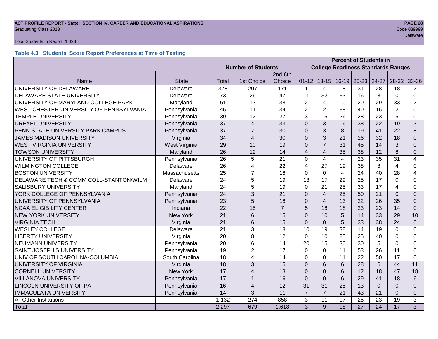### **ACT PROFILE REPORT - State: SECTION IV, CAREER AND EDUCATIONAL ASPIRATIONS PAGE 28** Graduating Class 2013 Code 089999

#### Total Students in Report: 1,423

#### **Table 4.3. Students' Score Report Preferences at Time of Testing**

|                                             |                      |                           |                | <b>Percent of Students in</b> |                |                                           |                 |           |                 |                 |                |
|---------------------------------------------|----------------------|---------------------------|----------------|-------------------------------|----------------|-------------------------------------------|-----------------|-----------|-----------------|-----------------|----------------|
|                                             |                      | <b>Number of Students</b> |                |                               |                | <b>College Readiness Standards Ranges</b> |                 |           |                 |                 |                |
|                                             |                      |                           |                | 2nd-6th                       |                |                                           |                 |           |                 |                 |                |
| Name                                        | <b>State</b>         | <b>Total</b>              | 1st Choice     | Choice                        | $01 - 12$      | $13 - 15$                                 | $16 - 19$       | $20 - 23$ | 24-27           | 28-32           | 33-36          |
| UNIVERSITY OF DELAWARE                      | Delaware             | 378                       | 207            | 171                           | $\mathbf 1$    | 4                                         | 18              | 31        | 28              | 18              | 2              |
| DELAWARE STATE UNIVERSITY                   | Delaware             | 73                        | 26             | 47                            | 11             | 32                                        | 33              | 16        | 8               | $\Omega$        | $\Omega$       |
| UNIVERSITY OF MARYLAND COLLEGE PARK         | Maryland             | 51                        | 13             | 38                            | $\overline{2}$ | 4                                         | 10              | 20        | 29              | 33              | 2              |
| WEST CHESTER UNIVERSITY OF PENNSYLVANIA     | Pennsylvania         | 45                        | 11             | 34                            | $\overline{2}$ | $\overline{2}$                            | 38              | 40        | 16              | $\overline{2}$  | $\Omega$       |
| <b>TEMPLE UNIVERSITY</b>                    | Pennsylvania         | 39                        | 12             | 27                            | 3              | 15                                        | 26              | 28        | 23              | 5               | $\Omega$       |
| <b>DREXEL UNIVERSITY</b>                    | Pennsylvania         | 37                        | $\overline{4}$ | 33                            | $\Omega$       | 3                                         | 16              | 38        | 22              | 19              | 3              |
| PENN STATE-UNIVERSITY PARK CAMPUS           | Pennsylvania         | 37                        | $\overline{7}$ | 30                            | $\Omega$       | 3                                         | 8               | 19        | 41              | 22              | 8              |
| <b>JAMES MADISON UNIVERSITY</b>             | Virginia             | 34                        | 4              | 30                            | $\Omega$       | 3                                         | 21              | 26        | 32              | 18              | $\Omega$       |
| <b>WEST VIRGINIA UNIVERSITY</b>             | West Virginia        | 29                        | 10             | 19                            | $\Omega$       | $\overline{7}$                            | 31              | 45        | 14              | 3               | 0              |
| <b>TOWSON UNIVERSITY</b>                    | Maryland             | 26                        | 12             | 14                            | $\overline{4}$ | $\overline{4}$                            | 35              | 38        | 12              | 8               | 0              |
| UNIVERSITY OF PITTSBURGH                    | Pennsylvania         | 26                        | 5              | 21                            | $\overline{0}$ | 4                                         | $\overline{4}$  | 23        | 35              | $\overline{31}$ | 4              |
| <b>WILMINGTON COLLEGE</b>                   | Delaware             | 26                        | 4              | 22                            | 4              | 27                                        | 19              | 38        | 8               | $\overline{4}$  | $\Omega$       |
| <b>BOSTON UNIVERSITY</b>                    | <b>Massachusetts</b> | 25                        | $\overline{7}$ | 18                            | $\Omega$       | $\mathbf 0$                               | 4               | 24        | 40              | 28              | 4              |
| DELAWARE TECH & COMM COLL-STANTON/WILM      | Delaware             | 24                        | 5              | 19                            | 13             | 17                                        | 29              | 25        | 17              | $\Omega$        | $\Omega$       |
| <b>SALISBURY UNIVERSITY</b>                 | Maryland             | 24                        | 5              | 19                            | $\Omega$       | 21                                        | 25              | 33        | 17              | 4               | $\Omega$       |
| YORK COLLEGE OF PENNSYLVANIA                | Pennsylvania         | 24                        | $\overline{3}$ | 21                            | $\overline{0}$ | $\overline{4}$                            | 25              | 50        | 21              | $\overline{0}$  | $\Omega$       |
| UNIVERSITY OF PENNSYLVANIA                  | Pennsylvania         | 23                        | 5              | 18                            | $\Omega$       | $\overline{4}$                            | 13              | 22        | 26              | 35              | $\Omega$       |
| <b>NCAA ELIGIBILITY CENTER</b>              | Indiana              | 22                        | 15             | $\overline{7}$                | 5              | 18                                        | 18              | 23        | 23              | 14              | $\Omega$       |
| <b>NEW YORK UNIVERSITY</b>                  | <b>New York</b>      | 21                        | 6              | 15                            | $\overline{0}$ | 10                                        | 5               | 14        | 33              | 29              | 10             |
| <b>VIRGINIA TECH</b>                        | Virginia             | 21                        | 6              | 15                            | $\Omega$       | $\overline{0}$                            | 5               | 33        | 38              | 24              | $\Omega$       |
| <b>WESLEY COLLEGE</b>                       | Delaware             | 21                        | 3              | 18                            | 10             | 19                                        | 38              | 14        | 19              | $\mathbf 0$     | $\Omega$       |
| <b>LIBERTY UNIVERSITY</b>                   | Virginia             | 20                        | 8              | 12                            | $\mathbf 0$    | 10                                        | 25              | 25        | 40              | 0               | $\Omega$       |
| <b>NEUMANN UNIVERSITY</b>                   | Pennsylvania         | 20                        | 6              | 14                            | 20             | 15                                        | 30              | 30        | 5               | $\Omega$        | $\Omega$       |
| SAINT JOSEPH'S UNIVERSITY                   | Pennsylvania         | 19                        | $\overline{2}$ | 17                            | $\mathbf 0$    | $\mathbf 0$                               | 11              | 53        | 26              | 11              | $\Omega$       |
| UNIV OF SOUTH CAROLINA-COLUMBIA             | South Carolina       | 18                        | 4              | 14                            | $\mathbf 0$    | 0                                         | 11              | 22        | 50              | 17              | $\Omega$       |
| UNIVERSITY OF VIRGINIA                      | Virginia             | 18                        | 3              | 15                            | $\Omega$       | 6                                         | 6               | 28        | 6               | 44              | 11             |
| <b>CORNELL UNIVERSITY</b>                   | New York             | 17                        | 4              | 13                            | $\Omega$       | $\Omega$                                  | 6               | 12        | 18              | 47              | 18             |
| <b>VILLANOVA UNIVERSITY</b><br>Pennsylvania |                      | 17                        |                | 16                            | $\overline{0}$ | $\overline{0}$                            | 6               | 29        | 41              | 18              | 6              |
| LINCOLN UNIVERSITY OF PA<br>Pennsylvania    |                      | 16                        | 4              | 12                            | 31             | 31                                        | 25              | 13        | $\Omega$        | $\Omega$        | $\Omega$       |
| <b>IMMACULATA UNIVERSITY</b>                | Pennsylvania         | 14                        | 3              | 11                            | $\overline{7}$ | $\overline{7}$                            | 21              | 43        | 21              | $\mathbf 0$     | $\Omega$       |
| All Other Institutions                      |                      | 1,132                     | 274            | 858                           | $\overline{3}$ | 11                                        | 17              | 25        | 23              | 19              | $\overline{3}$ |
| Total                                       |                      | 2,297                     | 679            | 1,618                         | 3              | 9                                         | $\overline{18}$ | 27        | $\overline{24}$ | 17              | 3              |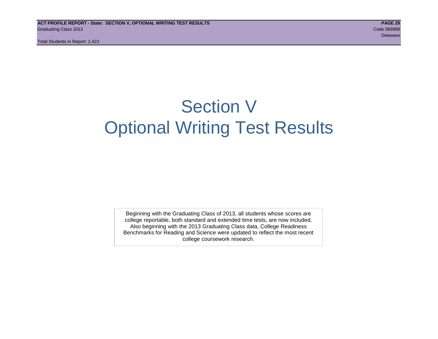Total Students in Report: 1,423

# Section V Optional Writing Test Results

Beginning with the Graduating Class of 2013, all students whose scores are college reportable, both standard and extended time tests, are now included. Also beginning with the 2013 Graduating Class data, College Readiness Benchmarks for Reading and Science were updated to reflect the most recent college coursework research.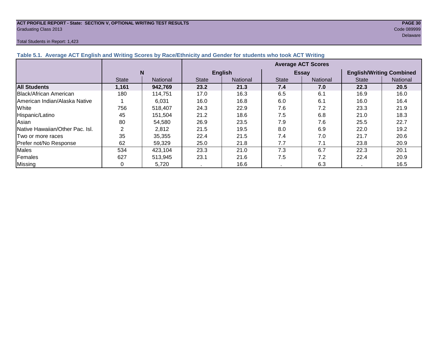#### **ACT PROFILE REPORT - State: SECTION V, OPTIONAL WRITING TEST RESULTS PAGE 30** Graduating Class 2013 Code 089999

#### Total Students in Report: 1,423

delaware in the control of the control of the control of the control of the control of the control of the control of the control of the control of the control of the control of the control of the control of the control of

| Table 5.1. Average ACT English and Writing Scores by Race/Ethnicity and Gender for students who took ACT Writing |              |                 |                           |                |              |                 |                                 |                 |  |  |
|------------------------------------------------------------------------------------------------------------------|--------------|-----------------|---------------------------|----------------|--------------|-----------------|---------------------------------|-----------------|--|--|
|                                                                                                                  |              |                 | <b>Average ACT Scores</b> |                |              |                 |                                 |                 |  |  |
|                                                                                                                  |              | N               |                           | <b>English</b> |              | <b>Essay</b>    | <b>English/Writing Combined</b> |                 |  |  |
|                                                                                                                  | <b>State</b> | <b>National</b> | <b>State</b>              | National       | <b>State</b> | <b>National</b> | <b>State</b>                    | <b>National</b> |  |  |
| <b>All Students</b>                                                                                              | 1,161        | 942,769         | 23.2                      | 21.3           | 7.4          | 7.0             | 22.3                            | 20.5            |  |  |
| Black/African American                                                                                           | 180          | 114,751         | 17.0                      | 16.3           | 6.5          | 6.1             | 16.9                            | 16.0            |  |  |
| American Indian/Alaska Native                                                                                    |              | 6.031           | 16.0                      | 16.8           | 6.0          | 6.1             | 16.0                            | 16.4            |  |  |
| White                                                                                                            | 756          | 518.407         | 24.3                      | 22.9           | 7.6          | 7.2             | 23.3                            | 21.9            |  |  |
| Hispanic/Latino                                                                                                  | 45           | 151.504         | 21.2                      | 18.6           | 7.5          | 6.8             | 21.0                            | 18.3            |  |  |
| Asian                                                                                                            | 80           | 54,580          | 26.9                      | 23.5           | 7.9          | 7.6             | 25.5                            | 22.7            |  |  |
| Native Hawaiian/Other Pac. Isl.                                                                                  |              | 2,812           | 21.5                      | 19.5           | 8.0          | 6.9             | 22.0                            | 19.2            |  |  |
| I Two or more races                                                                                              | 35           | 35,355          | 22.4                      | 21.5           | 7.4          | 7.0             | 21.7                            | 20.6            |  |  |
| Prefer not/No Response                                                                                           | 62           | 59,329          | 25.0                      | 21.8           | 7.7          | 7.1             | 23.8                            | 20.9            |  |  |
| Males                                                                                                            | 534          | 423,104         | 23.3                      | 21.0           | 7.3          | 6.7             | 22.3                            | 20.1            |  |  |
| Females                                                                                                          | 627          | 513,945         | 23.1                      | 21.6           | 7.5          | 7.2             | 22.4                            | 20.9            |  |  |
| Missing                                                                                                          |              | 5,720           |                           | 16.6           |              | 6.3             |                                 | 16.5            |  |  |